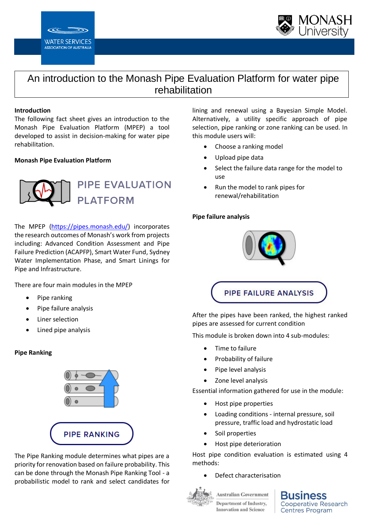



# An introduction to the Monash Pipe Evaluation Platform for water pipe rehabilitation

#### **Introduction**

The following fact sheet gives an introduction to the Monash Pipe Evaluation Platform (MPEP) a tool developed to assist in decision-making for water pipe rehabilitation.

#### **Monash Pipe Evaluation Platform**



The MPEP [\(https://pipes.monash.edu/\)](https://pipes.monash.edu/) incorporates the research outcomes of Monash's work from projects including: Advanced Condition Assessment and Pipe Failure Prediction (ACAPFP), Smart Water Fund, Sydney Water Implementation Phase, and Smart Linings for Pipe and Infrastructure.

There are four main modules in the MPEP

- Pipe ranking
- Pipe failure analysis
- Liner selection
- Lined pipe analysis

#### **Pipe Ranking**



The Pipe Ranking module determines what pipes are a priority for renovation based on failure probability. This can be done through the Monash Pipe Ranking Tool - a probabilistic model to rank and select candidates for lining and renewal using a Bayesian Simple Model. Alternatively, a utility specific approach of pipe selection, pipe ranking or zone ranking can be used. In this module users will:

- Choose a ranking model
- Upload pipe data
- Select the failure data range for the model to use
- Run the model to rank pipes for renewal/rehabilitation

#### **Pipe failure analysis**



After the pipes have been ranked, the highest ranked pipes are assessed for current condition

This module is broken down into 4 sub-modules:

- Time to failure
- Probability of failure
- Pipe level analysis
- Zone level analysis

Essential information gathered for use in the module:

- Host pipe properties
- Loading conditions internal pressure, soil pressure, traffic load and hydrostatic load
- Soil properties
- Host pipe deterioration

Host pipe condition evaluation is estimated using 4 methods:

• Defect characterisation



**Australian Government Department of Industry, Innovation and Science** 

ness **Cooperative Research Centres Program**